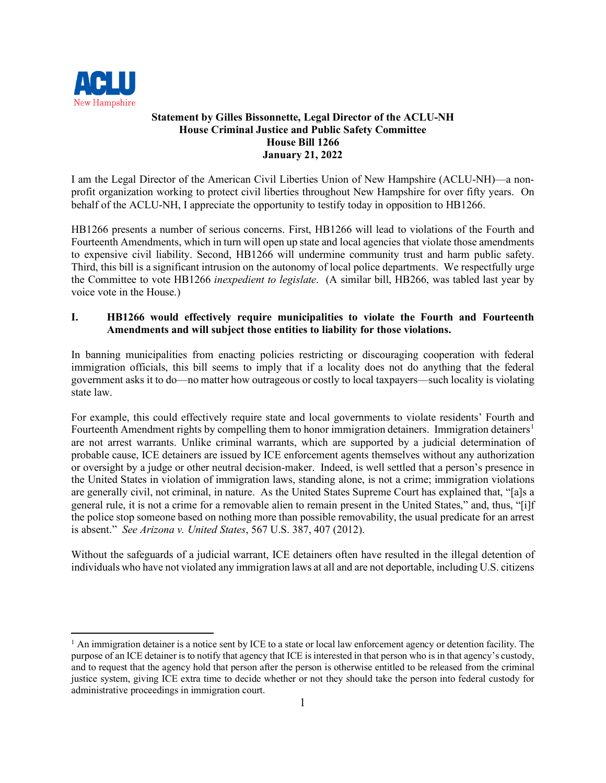

## **Statement by Gilles Bissonnette, Legal Director of the ACLU-NH House Criminal Justice and Public Safety Committee House Bill 1266 January 21, 2022**

I am the Legal Director of the American Civil Liberties Union of New Hampshire (ACLU-NH)—a nonprofit organization working to protect civil liberties throughout New Hampshire for over fifty years. On behalf of the ACLU-NH, I appreciate the opportunity to testify today in opposition to HB1266.

HB1266 presents a number of serious concerns. First, HB1266 will lead to violations of the Fourth and Fourteenth Amendments, which in turn will open up state and local agencies that violate those amendments to expensive civil liability. Second, HB1266 will undermine community trust and harm public safety. Third, this bill is a significant intrusion on the autonomy of local police departments. We respectfully urge the Committee to vote HB1266 *inexpedient to legislate*. (A similar bill, HB266, was tabled last year by voice vote in the House.)

## **I. HB1266 would effectively require municipalities to violate the Fourth and Fourteenth Amendments and will subject those entities to liability for those violations.**

In banning municipalities from enacting policies restricting or discouraging cooperation with federal immigration officials, this bill seems to imply that if a locality does not do anything that the federal government asks it to do—no matter how outrageous or costly to local taxpayers—such locality is violating state law.

For example, this could effectively require state and local governments to violate residents' Fourth and Fourteenth Amendment rights by compelling them to honor immigration detainers. Immigration detainers<sup>[1](#page-0-0)</sup> are not arrest warrants. Unlike criminal warrants, which are supported by a judicial determination of probable cause, ICE detainers are issued by ICE enforcement agents themselves without any authorization or oversight by a judge or other neutral decision-maker. Indeed, is well settled that a person's presence in the United States in violation of immigration laws, standing alone, is not a crime; immigration violations are generally civil, not criminal, in nature. As the United States Supreme Court has explained that, "[a]s a general rule, it is not a crime for a removable alien to remain present in the United States," and, thus, "[i]f the police stop someone based on nothing more than possible removability, the usual predicate for an arrest is absent." *See Arizona v. United States*, 567 U.S. 387, 407 (2012).

Without the safeguards of a judicial warrant, ICE detainers often have resulted in the illegal detention of individuals who have not violated any immigration laws at all and are not deportable, including U.S. citizens

<span id="page-0-0"></span> $<sup>1</sup>$  An immigration detainer is a notice sent by ICE to a state or local law enforcement agency or detention facility. The</sup> purpose of an ICE detainer is to notify that agency that ICE is interested in that person who is in that agency's custody, and to request that the agency hold that person after the person is otherwise entitled to be released from the criminal justice system, giving ICE extra time to decide whether or not they should take the person into federal custody for administrative proceedings in immigration court.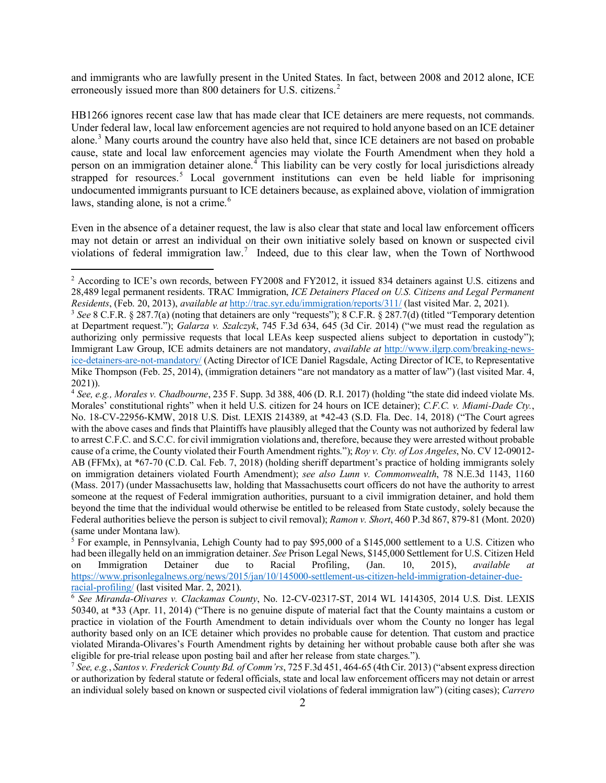and immigrants who are lawfully present in the United States. In fact, between 2008 and 2012 alone, ICE erroneously issued more than 800 detainers for U.S. citizens.<sup>[2](#page-1-0)</sup>

HB1266 ignores recent case law that has made clear that ICE detainers are mere requests, not commands. Under federal law, local law enforcement agencies are not required to hold anyone based on an ICE detainer alone.[3](#page-1-1) Many courts around the country have also held that, since ICE detainers are not based on probable cause, state and local law enforcement agencies may violate the Fourth Amendment when they hold a person on an immigration detainer alone.<sup> $4$ </sup> This liability can be very costly for local jurisdictions already strapped for resources.<sup>[5](#page-1-3)</sup> Local government institutions can even be held liable for imprisoning undocumented immigrants pursuant to ICE detainers because, as explained above, violation of immigration laws, standing alone, is not a crime. $<sup>6</sup>$  $<sup>6</sup>$  $<sup>6</sup>$ </sup>

Even in the absence of a detainer request, the law is also clear that state and local law enforcement officers may not detain or arrest an individual on their own initiative solely based on known or suspected civil violations of federal immigration law.<sup>[7](#page-1-5)</sup> Indeed, due to this clear law, when the Town of Northwood

<span id="page-1-0"></span><sup>&</sup>lt;sup>2</sup> According to ICE's own records, between FY2008 and FY2012, it issued 834 detainers against U.S. citizens and 28,489 legal permanent residents. TRAC Immigration, *ICE Detainers Placed on U.S. Citizens and Legal Permanent Residents*, (Feb. 20, 2013), *available at http://trac.syr.edu/immigration/reports/311/* (last visited Mar. 2, 2021).<br><sup>3</sup> See 8 C.F.R. § 287.7(a) (noting that detainers are only "requests"); 8 C.F.R. § 287.7(d) (titled "T

<span id="page-1-1"></span>at Department request."); *Galarza v. Szalczyk*, 745 F.3d 634, 645 (3d Cir. 2014) ("we must read the regulation as authorizing only permissive requests that local LEAs keep suspected aliens subject to deportation in custody"); Immigrant Law Group, ICE admits detainers are not mandatory, *available at* [http://www.ilgrp.com/breaking-news](http://www.ilgrp.com/breaking-news-ice-detainers-are-not-mandatory/)[ice-detainers-are-not-mandatory/](http://www.ilgrp.com/breaking-news-ice-detainers-are-not-mandatory/) (Acting Director of ICE Daniel Ragsdale, Acting Director of ICE, to Representative Mike Thompson (Feb. 25, 2014), (immigration detainers "are not mandatory as a matter of law") (last visited Mar. 4, 2021)). 4 *See, e.g., Morales v. Chadbourne*, 235 F. Supp. 3d 388, 406 (D. R.I. 2017) (holding "the state did indeed violate Ms.

<span id="page-1-2"></span>Morales' constitutional rights" when it held U.S. citizen for 24 hours on ICE detainer); *C.F.C. v. Miami-Dade Cty.*, No. 18-CV-22956-KMW, 2018 U.S. Dist. LEXIS 214389, at \*42-43 (S.D. Fla. Dec. 14, 2018) ("The Court agrees with the above cases and finds that Plaintiffs have plausibly alleged that the County was not authorized by federal law to arrest C.F.C. and S.C.C. for civil immigration violations and, therefore, because they were arrested without probable cause of a crime, the County violated their Fourth Amendment rights."); *Roy v. Cty. of Los Angeles*, No. CV 12-09012- AB (FFMx), at \*67-70 (C.D. Cal. Feb. 7, 2018) (holding sheriff department's practice of holding immigrants solely on immigration detainers violated Fourth Amendment); *see also Lunn v. Commonwealth*, 78 N.E.3d 1143, 1160 (Mass. 2017) (under Massachusetts law, holding that Massachusetts court officers do not have the authority to arrest someone at the request of Federal immigration authorities, pursuant to a civil immigration detainer, and hold them beyond the time that the individual would otherwise be entitled to be released from State custody, solely because the Federal authorities believe the person is subject to civil removal); *Ramon v. Short*, 460 P.3d 867, 879-81 (Mont. 2020) (same under Montana law).

<span id="page-1-3"></span><sup>5</sup> For example, in Pennsylvania, Lehigh County had to pay \$95,000 of a \$145,000 settlement to a U.S. Citizen who had been illegally held on an immigration detainer. *See* Prison Legal News, \$145,000 Settlement for U.S. Citizen Held<br>on Immigration Detainer due to Racial Profiling, (Jan. 10, 2015), *available at* on Immigration Detainer due to Racial Profiling, (Jan. 10, 2015), *available at* [https://www.prisonlegalnews.org/news/2015/jan/10/145000-settlement-us-citizen-held-immigration-detainer-due](https://www.prisonlegalnews.org/news/2015/jan/10/145000-settlement-us-citizen-held-immigration-detainer-due-racial-profiling/)[racial-profiling/](https://www.prisonlegalnews.org/news/2015/jan/10/145000-settlement-us-citizen-held-immigration-detainer-due-racial-profiling/) (last visited Mar. 2, 2021).

<span id="page-1-4"></span><sup>6</sup> *See Miranda-Olivares v. Clackamas County*, No. 12-CV-02317-ST, 2014 WL 1414305, 2014 U.S. Dist. LEXIS 50340, at \*33 (Apr. 11, 2014) ("There is no genuine dispute of material fact that the County maintains a custom or practice in violation of the Fourth Amendment to detain individuals over whom the County no longer has legal authority based only on an ICE detainer which provides no probable cause for detention. That custom and practice violated Miranda-Olivares's Fourth Amendment rights by detaining her without probable cause both after she was eligible for pre-trial release upon posting bail and after her release from state charges.").

<span id="page-1-5"></span><sup>7</sup> *See, e.g.*, *Santos v. Frederick County Bd. of Comm'rs*, 725 F.3d 451, 464-65 (4th Cir. 2013) ("absent express direction or authorization by federal statute or federal officials, state and local law enforcement officers may not detain or arrest an individual solely based on known or suspected civil violations of federal immigration law") (citing cases); *Carrero*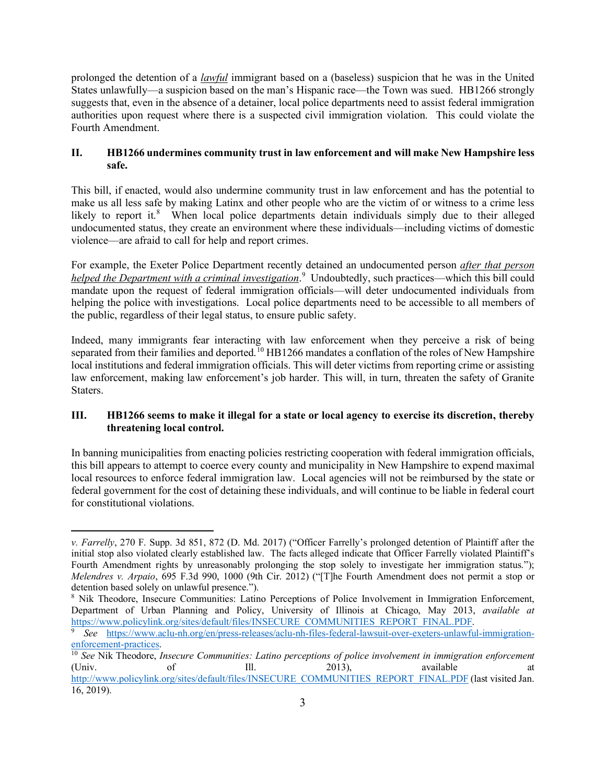prolonged the detention of a *lawful* immigrant based on a (baseless) suspicion that he was in the United States unlawfully—a suspicion based on the man's Hispanic race—the Town was sued. HB1266 strongly suggests that, even in the absence of a detainer, local police departments need to assist federal immigration authorities upon request where there is a suspected civil immigration violation. This could violate the Fourth Amendment.

## **II. HB1266 undermines community trust in law enforcement and will make New Hampshire less safe.**

This bill, if enacted, would also undermine community trust in law enforcement and has the potential to make us all less safe by making Latinx and other people who are the victim of or witness to a crime less likely to report it.<sup>[8](#page-2-0)</sup> When local police departments detain individuals simply due to their alleged undocumented status, they create an environment where these individuals—including victims of domestic violence—are afraid to call for help and report crimes.

For example, the Exeter Police Department recently detained an undocumented person *after that person helped the Department with a criminal investigation*. [9](#page-2-1) Undoubtedly, such practices—which this bill could mandate upon the request of federal immigration officials—will deter undocumented individuals from helping the police with investigations. Local police departments need to be accessible to all members of the public, regardless of their legal status, to ensure public safety.

Indeed, many immigrants fear interacting with law enforcement when they perceive a risk of being separated from their families and deported.<sup>[10](#page-2-2)</sup> HB1266 mandates a conflation of the roles of New Hampshire local institutions and federal immigration officials. This will deter victims from reporting crime or assisting law enforcement, making law enforcement's job harder. This will, in turn, threaten the safety of Granite Staters.

## **III. HB1266 seems to make it illegal for a state or local agency to exercise its discretion, thereby threatening local control.**

In banning municipalities from enacting policies restricting cooperation with federal immigration officials, this bill appears to attempt to coerce every county and municipality in New Hampshire to expend maximal local resources to enforce federal immigration law. Local agencies will not be reimbursed by the state or federal government for the cost of detaining these individuals, and will continue to be liable in federal court for constitutional violations.

*v. Farrelly*, 270 F. Supp. 3d 851, 872 (D. Md. 2017) ("Officer Farrelly's prolonged detention of Plaintiff after the initial stop also violated clearly established law. The facts alleged indicate that Officer Farrelly violated Plaintiff's Fourth Amendment rights by unreasonably prolonging the stop solely to investigate her immigration status."); *Melendres v. Arpaio*, 695 F.3d 990, 1000 (9th Cir. 2012) ("[T]he Fourth Amendment does not permit a stop or detention based solely on unlawful presence.").

<span id="page-2-0"></span><sup>8</sup> Nik Theodore, Insecure Communities: Latino Perceptions of Police Involvement in Immigration Enforcement, Department of Urban Planning and Policy, University of Illinois at Chicago, May 2013, *available at* 

<span id="page-2-1"></span>See [https://www.aclu-nh.org/en/press-releases/aclu-nh-files-federal-lawsuit-over-exeters-unlawful-immigration-](https://www.aclu-nh.org/en/press-releases/aclu-nh-files-federal-lawsuit-over-exeters-unlawful-immigration-enforcement-practices)

<span id="page-2-2"></span>[enforcement-practices.](https://www.aclu-nh.org/en/press-releases/aclu-nh-files-federal-lawsuit-over-exeters-unlawful-immigration-enforcement-practices)<br><sup>10</sup> *See* Nik Theodore, *Insecure Communities: Latino perceptions of police involvement in immigration enforcement*<br>(Univ. of III. 2013), available at (Univ. of III. 2013), available at [http://www.policylink.org/sites/default/files/INSECURE\\_COMMUNITIES\\_REPORT\\_FINAL.PDF](http://www.policylink.org/sites/default/files/INSECURE_COMMUNITIES_REPORT_FINAL.PDF) (last visited Jan. 16, 2019).